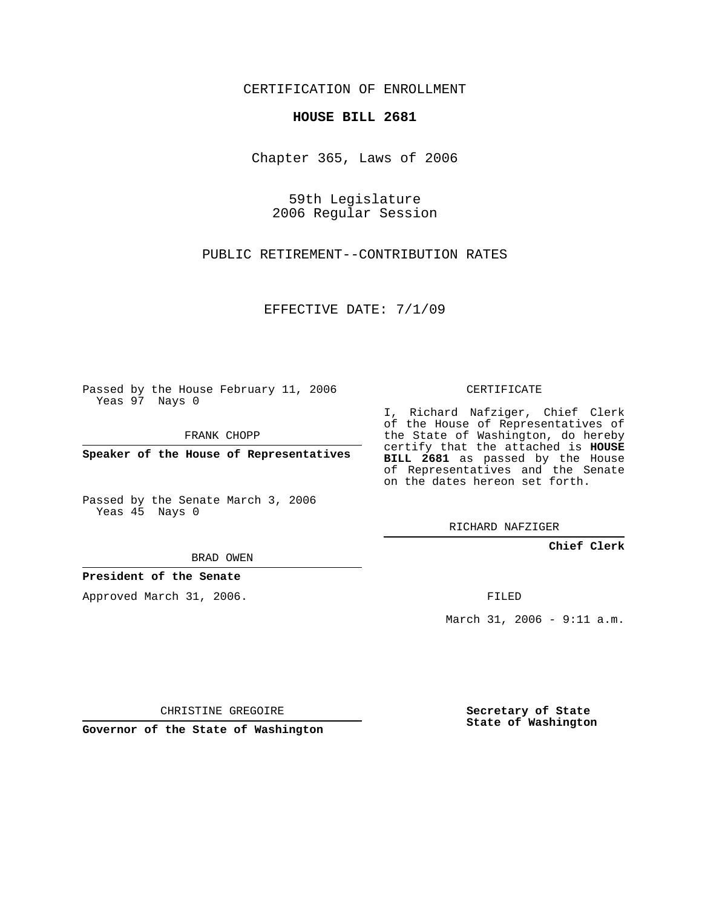CERTIFICATION OF ENROLLMENT

## **HOUSE BILL 2681**

Chapter 365, Laws of 2006

59th Legislature 2006 Regular Session

PUBLIC RETIREMENT--CONTRIBUTION RATES

EFFECTIVE DATE: 7/1/09

Passed by the House February 11, 2006 Yeas 97 Nays 0

FRANK CHOPP

**Speaker of the House of Representatives**

Passed by the Senate March 3, 2006 Yeas 45 Nays 0

I, Richard Nafziger, Chief Clerk

of the House of Representatives of the State of Washington, do hereby certify that the attached is **HOUSE BILL 2681** as passed by the House of Representatives and the Senate on the dates hereon set forth.

CERTIFICATE

RICHARD NAFZIGER

**Chief Clerk**

BRAD OWEN

**President of the Senate**

Approved March 31, 2006.

FILED

March 31, 2006 - 9:11 a.m.

CHRISTINE GREGOIRE

**Governor of the State of Washington**

**Secretary of State State of Washington**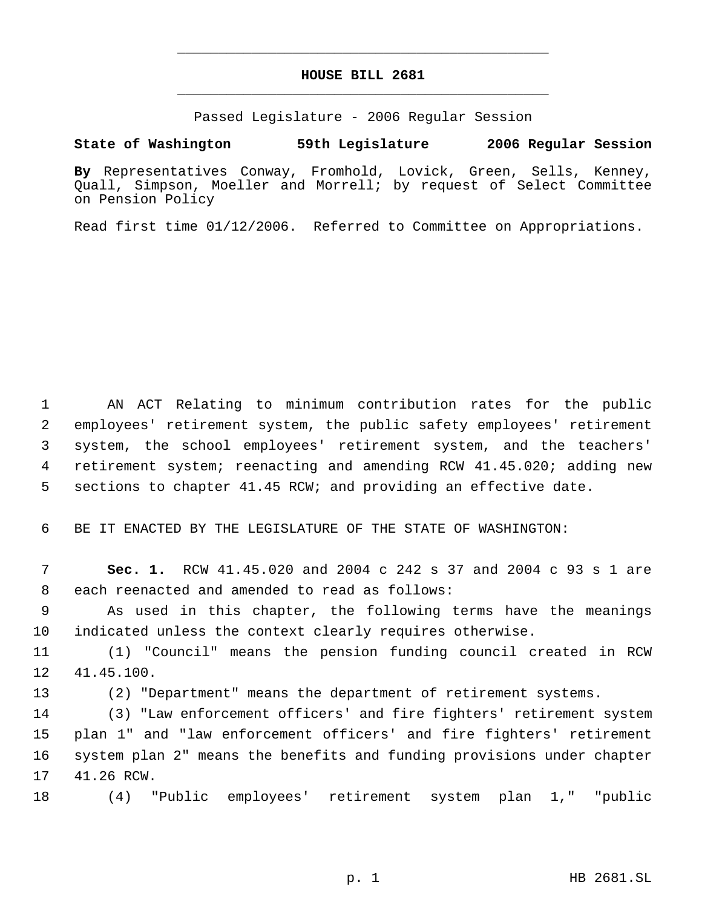## **HOUSE BILL 2681** \_\_\_\_\_\_\_\_\_\_\_\_\_\_\_\_\_\_\_\_\_\_\_\_\_\_\_\_\_\_\_\_\_\_\_\_\_\_\_\_\_\_\_\_\_

\_\_\_\_\_\_\_\_\_\_\_\_\_\_\_\_\_\_\_\_\_\_\_\_\_\_\_\_\_\_\_\_\_\_\_\_\_\_\_\_\_\_\_\_\_

Passed Legislature - 2006 Regular Session

## **State of Washington 59th Legislature 2006 Regular Session**

**By** Representatives Conway, Fromhold, Lovick, Green, Sells, Kenney, Quall, Simpson, Moeller and Morrell; by request of Select Committee on Pension Policy

Read first time 01/12/2006. Referred to Committee on Appropriations.

 AN ACT Relating to minimum contribution rates for the public employees' retirement system, the public safety employees' retirement system, the school employees' retirement system, and the teachers' retirement system; reenacting and amending RCW 41.45.020; adding new sections to chapter 41.45 RCW; and providing an effective date.

BE IT ENACTED BY THE LEGISLATURE OF THE STATE OF WASHINGTON:

 **Sec. 1.** RCW 41.45.020 and 2004 c 242 s 37 and 2004 c 93 s 1 are each reenacted and amended to read as follows:

 As used in this chapter, the following terms have the meanings indicated unless the context clearly requires otherwise.

 (1) "Council" means the pension funding council created in RCW 41.45.100.

(2) "Department" means the department of retirement systems.

 (3) "Law enforcement officers' and fire fighters' retirement system plan 1" and "law enforcement officers' and fire fighters' retirement system plan 2" means the benefits and funding provisions under chapter 41.26 RCW.

(4) "Public employees' retirement system plan 1," "public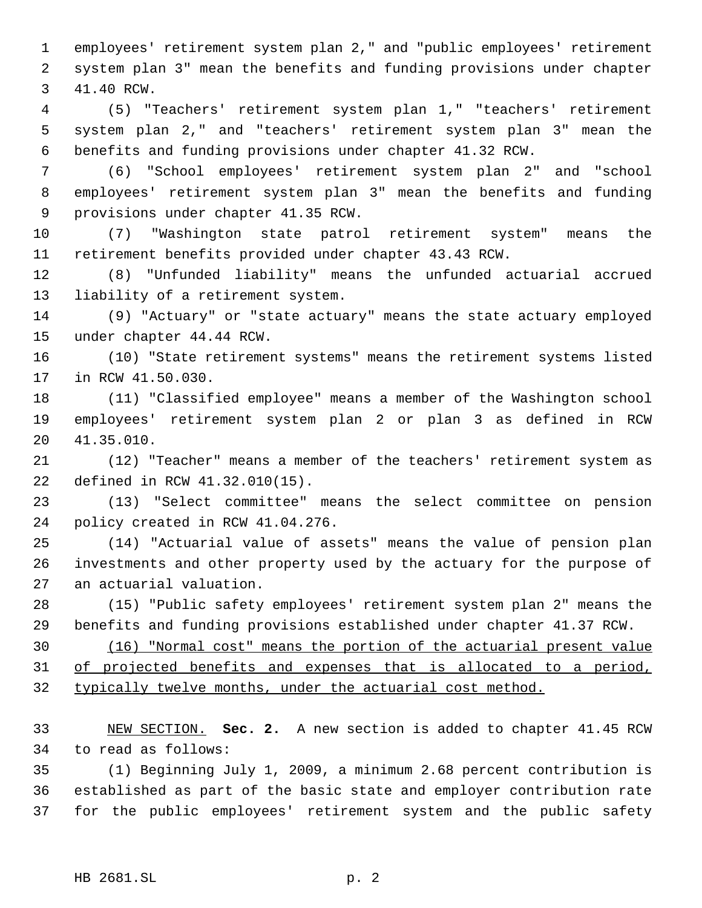employees' retirement system plan 2," and "public employees' retirement system plan 3" mean the benefits and funding provisions under chapter 41.40 RCW.

 (5) "Teachers' retirement system plan 1," "teachers' retirement system plan 2," and "teachers' retirement system plan 3" mean the benefits and funding provisions under chapter 41.32 RCW.

 (6) "School employees' retirement system plan 2" and "school employees' retirement system plan 3" mean the benefits and funding provisions under chapter 41.35 RCW.

 (7) "Washington state patrol retirement system" means the retirement benefits provided under chapter 43.43 RCW.

 (8) "Unfunded liability" means the unfunded actuarial accrued liability of a retirement system.

 (9) "Actuary" or "state actuary" means the state actuary employed under chapter 44.44 RCW.

 (10) "State retirement systems" means the retirement systems listed in RCW 41.50.030.

 (11) "Classified employee" means a member of the Washington school employees' retirement system plan 2 or plan 3 as defined in RCW 41.35.010.

 (12) "Teacher" means a member of the teachers' retirement system as defined in RCW 41.32.010(15).

 (13) "Select committee" means the select committee on pension policy created in RCW 41.04.276.

 (14) "Actuarial value of assets" means the value of pension plan investments and other property used by the actuary for the purpose of an actuarial valuation.

 (15) "Public safety employees' retirement system plan 2" means the benefits and funding provisions established under chapter 41.37 RCW.

 (16) "Normal cost" means the portion of the actuarial present value 31 of projected benefits and expenses that is allocated to a period, 32 typically twelve months, under the actuarial cost method.

 NEW SECTION. **Sec. 2.** A new section is added to chapter 41.45 RCW to read as follows:

 (1) Beginning July 1, 2009, a minimum 2.68 percent contribution is established as part of the basic state and employer contribution rate for the public employees' retirement system and the public safety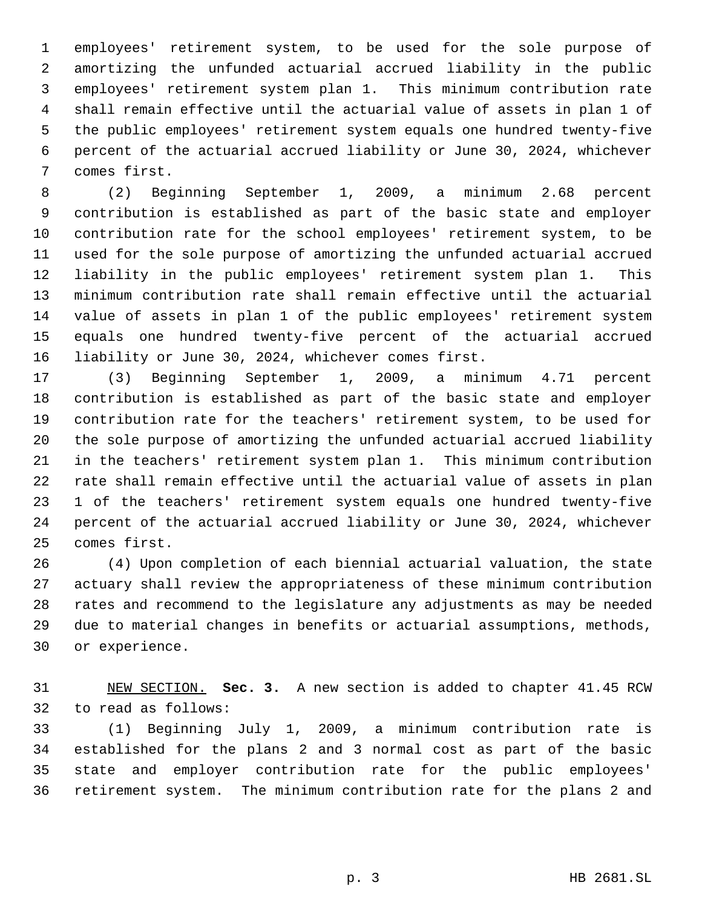employees' retirement system, to be used for the sole purpose of amortizing the unfunded actuarial accrued liability in the public employees' retirement system plan 1. This minimum contribution rate shall remain effective until the actuarial value of assets in plan 1 of the public employees' retirement system equals one hundred twenty-five percent of the actuarial accrued liability or June 30, 2024, whichever comes first.

 (2) Beginning September 1, 2009, a minimum 2.68 percent contribution is established as part of the basic state and employer contribution rate for the school employees' retirement system, to be used for the sole purpose of amortizing the unfunded actuarial accrued liability in the public employees' retirement system plan 1. This minimum contribution rate shall remain effective until the actuarial value of assets in plan 1 of the public employees' retirement system equals one hundred twenty-five percent of the actuarial accrued liability or June 30, 2024, whichever comes first.

 (3) Beginning September 1, 2009, a minimum 4.71 percent contribution is established as part of the basic state and employer contribution rate for the teachers' retirement system, to be used for the sole purpose of amortizing the unfunded actuarial accrued liability in the teachers' retirement system plan 1. This minimum contribution rate shall remain effective until the actuarial value of assets in plan 1 of the teachers' retirement system equals one hundred twenty-five percent of the actuarial accrued liability or June 30, 2024, whichever comes first.

 (4) Upon completion of each biennial actuarial valuation, the state actuary shall review the appropriateness of these minimum contribution rates and recommend to the legislature any adjustments as may be needed due to material changes in benefits or actuarial assumptions, methods, or experience.

 NEW SECTION. **Sec. 3.** A new section is added to chapter 41.45 RCW to read as follows:

 (1) Beginning July 1, 2009, a minimum contribution rate is established for the plans 2 and 3 normal cost as part of the basic state and employer contribution rate for the public employees' retirement system. The minimum contribution rate for the plans 2 and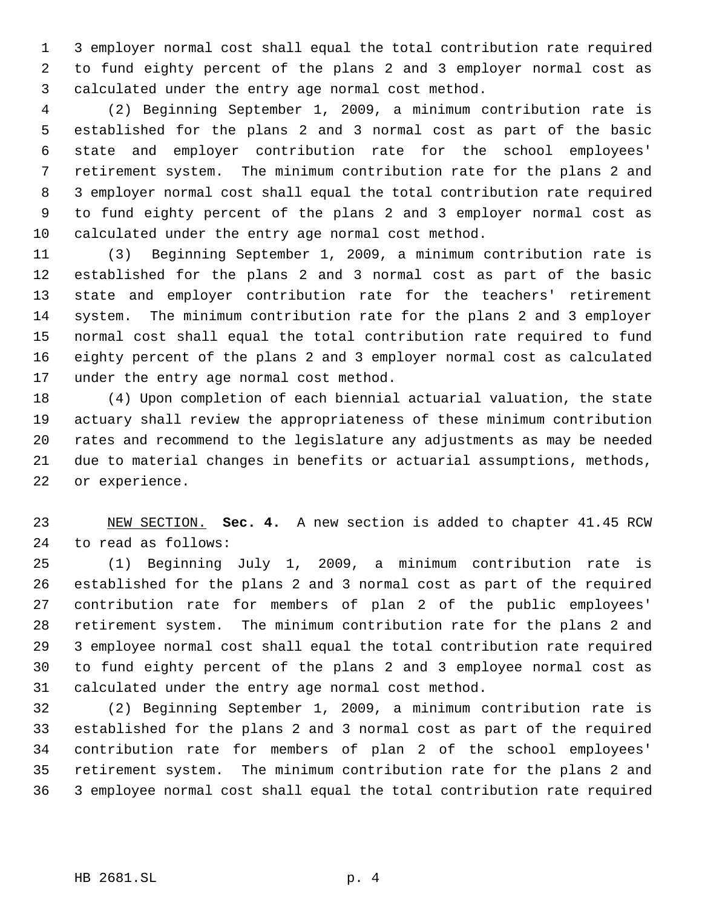3 employer normal cost shall equal the total contribution rate required to fund eighty percent of the plans 2 and 3 employer normal cost as calculated under the entry age normal cost method.

 (2) Beginning September 1, 2009, a minimum contribution rate is established for the plans 2 and 3 normal cost as part of the basic state and employer contribution rate for the school employees' retirement system. The minimum contribution rate for the plans 2 and 3 employer normal cost shall equal the total contribution rate required to fund eighty percent of the plans 2 and 3 employer normal cost as calculated under the entry age normal cost method.

 (3) Beginning September 1, 2009, a minimum contribution rate is established for the plans 2 and 3 normal cost as part of the basic state and employer contribution rate for the teachers' retirement system. The minimum contribution rate for the plans 2 and 3 employer normal cost shall equal the total contribution rate required to fund eighty percent of the plans 2 and 3 employer normal cost as calculated under the entry age normal cost method.

 (4) Upon completion of each biennial actuarial valuation, the state actuary shall review the appropriateness of these minimum contribution rates and recommend to the legislature any adjustments as may be needed due to material changes in benefits or actuarial assumptions, methods, or experience.

 NEW SECTION. **Sec. 4.** A new section is added to chapter 41.45 RCW to read as follows:

 (1) Beginning July 1, 2009, a minimum contribution rate is established for the plans 2 and 3 normal cost as part of the required contribution rate for members of plan 2 of the public employees' retirement system. The minimum contribution rate for the plans 2 and 3 employee normal cost shall equal the total contribution rate required to fund eighty percent of the plans 2 and 3 employee normal cost as calculated under the entry age normal cost method.

 (2) Beginning September 1, 2009, a minimum contribution rate is established for the plans 2 and 3 normal cost as part of the required contribution rate for members of plan 2 of the school employees' retirement system. The minimum contribution rate for the plans 2 and 3 employee normal cost shall equal the total contribution rate required